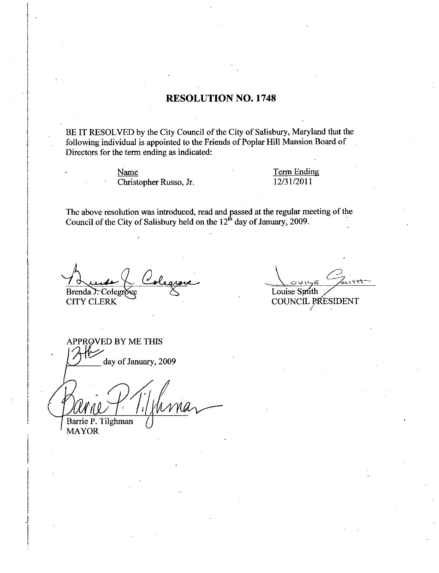### RESOLUTION NO. 1748

BE IT RESOLVED by the City Council of the City of Salisbury, Maryland that the following individual is appointed to the Friends of Poplar Hill Mansion Board of Directors for the term ending as indicated:

> Name Christopher Russo, Jr.

Term Ending <u>Term Endi</u><br>12/31/2011

The above resolution was introduced, read and passed at the regular meeting of the Council of the City of Salisbury held on the  $12<sup>th</sup>$  day of January, 2009.

Brenda T. Colegro

CITY CLERK

Louise Smith

COUNCIL PRESIDENT

APPROVED BY ME THIS day of January, 2009 Barrie P. Tilghman

MAYOR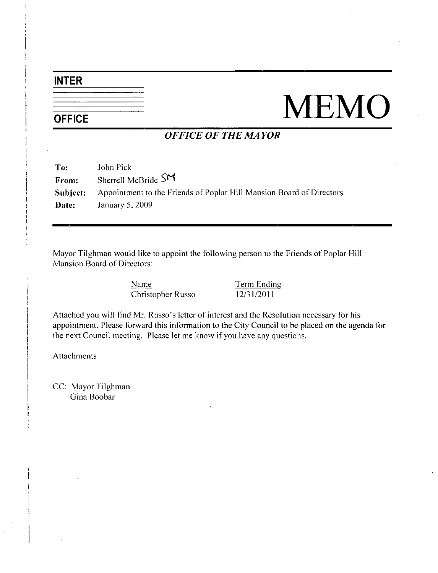## INTER

# NEMO

## OFFICE OF THE MAYOR

| To:   | John Pick                                                                            |
|-------|--------------------------------------------------------------------------------------|
| From: | Sherrell McBride $\mathsf{S}^{\mathsf{M}}$                                           |
|       | <b>Subject:</b> Appointment to the Friends of Poplar Hill Mansion Board of Directors |
| Date: | January 5, $2009$                                                                    |

Mayor Tilghman would like to appoint the following person to the Friends of Poplar Hill Mansion Board of Directors

> Name Term Ending Christopher Russo 12/31/2011

Name<br>
Christopher Russo sletter of interest and the Resolution necessary for his<br>
appointment. Please forward this information to the City Council to be placed on the agenda for the next Council meeting. Please let me know if you have any questions.

**Attachments** 

CC: Mayor Tilghman Gina Boobar